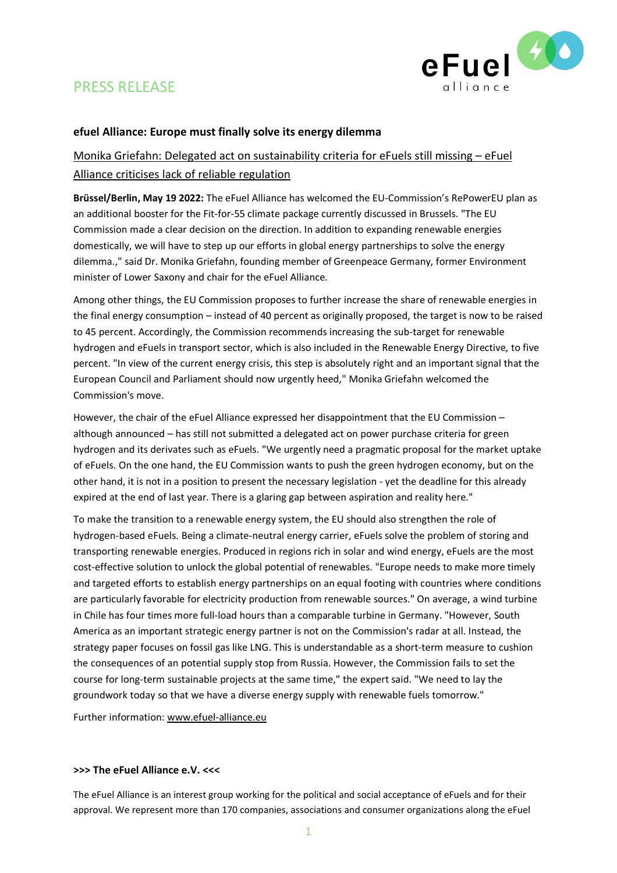

# PRESS RELEASE

### **efuel Alliance: Europe must finally solve its energy dilemma**

## Monika Griefahn: Delegated act on sustainability criteria for eFuels still missing – eFuel Alliance criticises lack of reliable regulation

**Brüssel/Berlin, May 19 2022:** The eFuel Alliance has welcomed the EU-Commission's RePowerEU plan as an additional booster for the Fit-for-55 climate package currently discussed in Brussels. "The EU Commission made a clear decision on the direction. In addition to expanding renewable energies domestically, we will have to step up our efforts in global energy partnerships to solve the energy dilemma.," said Dr. Monika Griefahn, founding member of Greenpeace Germany, former Environment minister of Lower Saxony and chair for the eFuel Alliance.

Among other things, the EU Commission proposes to further increase the share of renewable energies in the final energy consumption – instead of 40 percent as originally proposed, the target is now to be raised to 45 percent. Accordingly, the Commission recommends increasing the sub-target for renewable hydrogen and eFuels in transport sector, which is also included in the Renewable Energy Directive, to five percent. "In view of the current energy crisis, this step is absolutely right and an important signal that the European Council and Parliament should now urgently heed," Monika Griefahn welcomed the Commission's move.

However, the chair of the eFuel Alliance expressed her disappointment that the EU Commission – although announced – has still not submitted a delegated act on power purchase criteria for green hydrogen and its derivates such as eFuels. "We urgently need a pragmatic proposal for the market uptake of eFuels. On the one hand, the EU Commission wants to push the green hydrogen economy, but on the other hand, it is not in a position to present the necessary legislation - yet the deadline for this already expired at the end of last year. There is a glaring gap between aspiration and reality here."

To make the transition to a renewable energy system, the EU should also strengthen the role of hydrogen-based eFuels. Being a climate-neutral energy carrier, eFuels solve the problem of storing and transporting renewable energies. Produced in regions rich in solar and wind energy, eFuels are the most cost-effective solution to unlock the global potential of renewables. "Europe needs to make more timely and targeted efforts to establish energy partnerships on an equal footing with countries where conditions are particularly favorable for electricity production from renewable sources." On average, a wind turbine in Chile has four times more full-load hours than a comparable turbine in Germany. "However, South America as an important strategic energy partner is not on the Commission's radar at all. Instead, the strategy paper focuses on fossil gas like LNG. This is understandable as a short-term measure to cushion the consequences of an potential supply stop from Russia. However, the Commission fails to set the course for long-term sustainable projects at the same time," the expert said. "We need to lay the groundwork today so that we have a diverse energy supply with renewable fuels tomorrow."

Further information: [www.efuel-alliance.eu](http://www.efuel-alliance.eu/) 

#### **>>> The eFuel Alliance e.V. <<<**

The eFuel Alliance is an interest group working for the political and social acceptance of eFuels and for their approval. We represent more than 170 companies, associations and consumer organizations along the eFuel